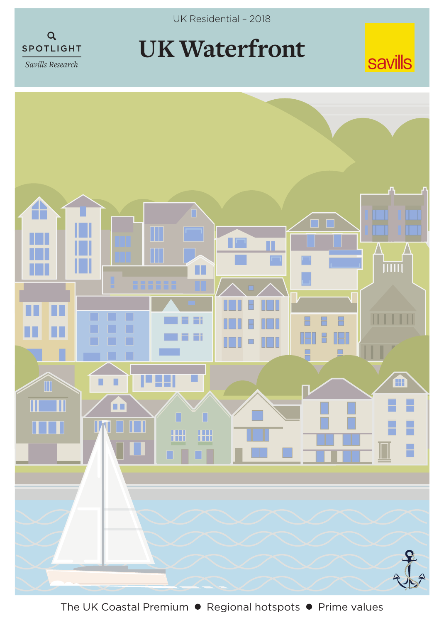

*Savills Research*



## **UK Waterfront**



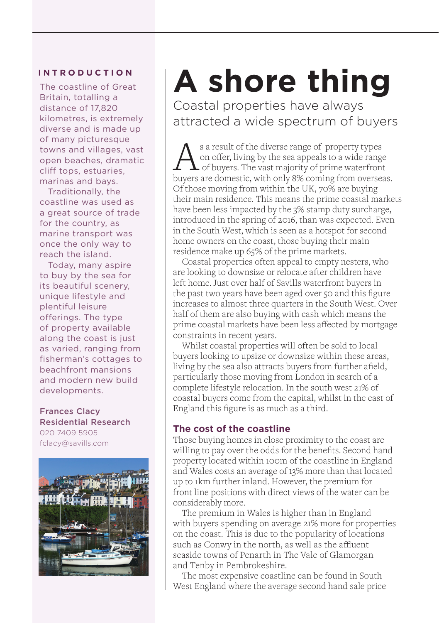## **INTRODUCTION**

The coastline of Great Britain, totalling a distance of 17,820 kilometres, is extremely diverse and is made up of many picturesque towns and villages, vast open beaches, dramatic cliff tops, estuaries, marinas and bays.

 Traditionally, the coastline was used as a great source of trade for the country, as marine transport was once the only way to reach the island.

 Today, many aspire to buy by the sea for its beautiful scenery, unique lifestyle and plentiful leisure offerings. The type of property available along the coast is just as varied, ranging from fisherman's cottages to beachfront mansions and modern new build developments.

Frances Clacy Residential Research 020 7409 5905 fclacy@savills.com



## **A shore thing**

Coastal properties have always attracted a wide spectrum of buyers

As a result of the diverse range of property types<br>on offer, living by the sea appeals to a wide range<br>of buyers. The vast majority of prime waterfront<br>buyers are domestic, with only 8% coming from oversea on offer, living by the sea appeals to a wide range buyers are domestic, with only 8% coming from overseas. Of those moving from within the UK, 70% are buying their main residence. This means the prime coastal markets have been less impacted by the 3% stamp duty surcharge, introduced in the spring of 2016, than was expected. Even in the South West, which is seen as a hotspot for second home owners on the coast, those buying their main residence make up 65% of the prime markets.

Coastal properties often appeal to empty nesters, who are looking to downsize or relocate after children have left home. Just over half of Savills waterfront buyers in the past two years have been aged over 50 and this figure increases to almost three quarters in the South West. Over half of them are also buying with cash which means the prime coastal markets have been less affected by mortgage constraints in recent years.

Whilst coastal properties will often be sold to local buyers looking to upsize or downsize within these areas, living by the sea also attracts buyers from further afield, particularly those moving from London in search of a complete lifestyle relocation. In the south west 21% of coastal buyers come from the capital, whilst in the east of England this figure is as much as a third.

## **The cost of the coastline**

Those buying homes in close proximity to the coast are willing to pay over the odds for the benefits. Second hand property located within 100m of the coastline in England and Wales costs an average of 13% more than that located up to 1km further inland. However, the premium for front line positions with direct views of the water can be considerably more.

 The premium in Wales is higher than in England with buyers spending on average 21% more for properties on the coast. This is due to the popularity of locations such as Conwy in the north, as well as the affluent seaside towns of Penarth in The Vale of Glamorgan and Tenby in Pembrokeshire.

The most expensive coastline can be found in South West England where the average second hand sale price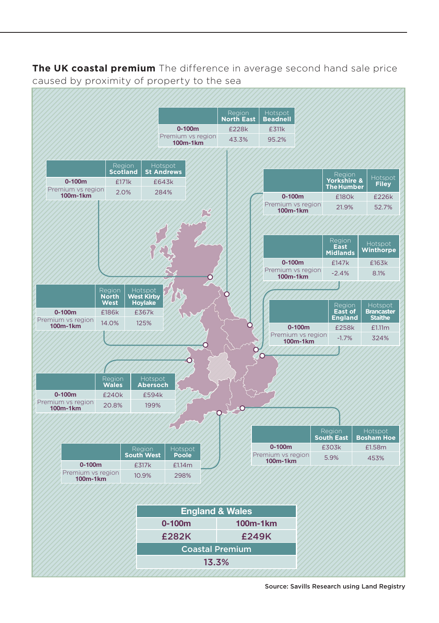**The UK coastal premium** The difference in average second hand sale price caused by proximity of property to the sea



Source: Savills Research using Land Registry